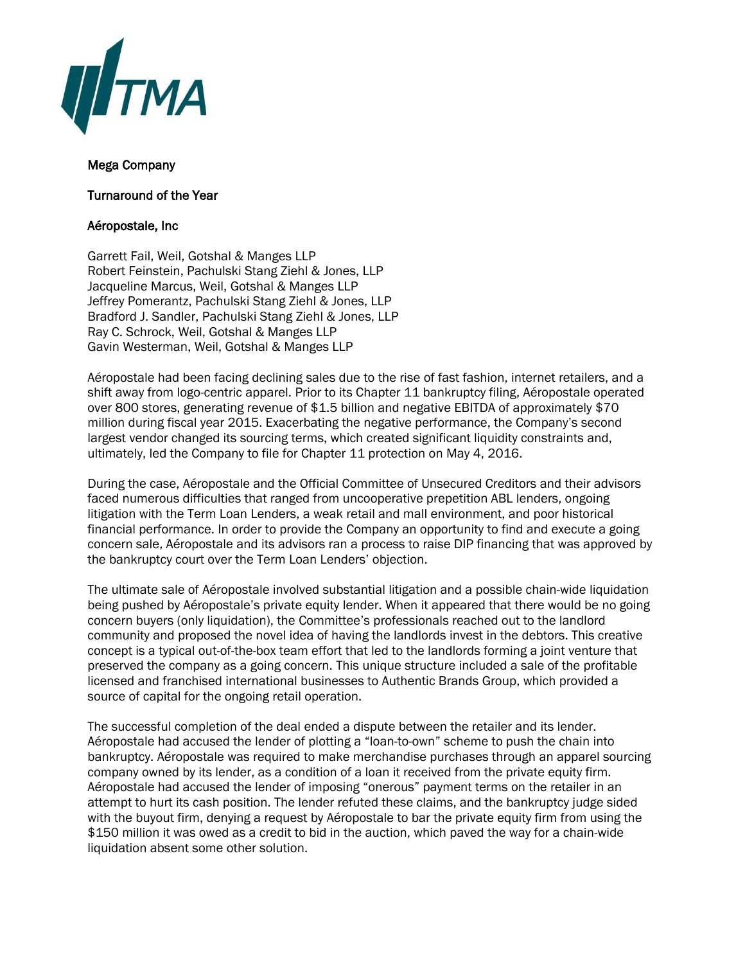

## Mega Company

## Turnaround of the Year

## Aéropostale, Inc

Garrett Fail, Weil, Gotshal & Manges LLP Robert Feinstein, Pachulski Stang Ziehl & Jones, LLP Jacqueline Marcus, Weil, Gotshal & Manges LLP Jeffrey Pomerantz, Pachulski Stang Ziehl & Jones, LLP Bradford J. Sandler, Pachulski Stang Ziehl & Jones, LLP Ray C. Schrock, Weil, Gotshal & Manges LLP Gavin Westerman, Weil, Gotshal & Manges LLP

Aéropostale had been facing declining sales due to the rise of fast fashion, internet retailers, and a shift away from logo-centric apparel. Prior to its Chapter 11 bankruptcy filing, Aéropostale operated over 800 stores, generating revenue of \$1.5 billion and negative EBITDA of approximately \$70 million during fiscal year 2015. Exacerbating the negative performance, the Company's second largest vendor changed its sourcing terms, which created significant liquidity constraints and, ultimately, led the Company to file for Chapter 11 protection on May 4, 2016.

During the case, Aéropostale and the Official Committee of Unsecured Creditors and their advisors faced numerous difficulties that ranged from uncooperative prepetition ABL lenders, ongoing litigation with the Term Loan Lenders, a weak retail and mall environment, and poor historical financial performance. In order to provide the Company an opportunity to find and execute a going concern sale, Aéropostale and its advisors ran a process to raise DIP financing that was approved by the bankruptcy court over the Term Loan Lenders' objection.

The ultimate sale of Aéropostale involved substantial litigation and a possible chain-wide liquidation being pushed by Aéropostale's private equity lender. When it appeared that there would be no going concern buyers (only liquidation), the Committee's professionals reached out to the landlord community and proposed the novel idea of having the landlords invest in the debtors. This creative concept is a typical out-of-the-box team effort that led to the landlords forming a joint venture that preserved the company as a going concern. This unique structure included a sale of the profitable licensed and franchised international businesses to Authentic Brands Group, which provided a source of capital for the ongoing retail operation.

The successful completion of the deal ended a dispute between the retailer and its lender. Aéropostale had accused the lender of plotting a "loan-to-own" scheme to push the chain into bankruptcy. Aéropostale was required to make merchandise purchases through an apparel sourcing company owned by its lender, as a condition of a loan it received from the private equity firm. Aéropostale had accused the lender of imposing "onerous" payment terms on the retailer in an attempt to hurt its cash position. The lender refuted these claims, and the bankruptcy judge sided with the buyout firm, denying a request by Aéropostale to bar the private equity firm from using the \$150 million it was owed as a credit to bid in the auction, which paved the way for a chain-wide liquidation absent some other solution.